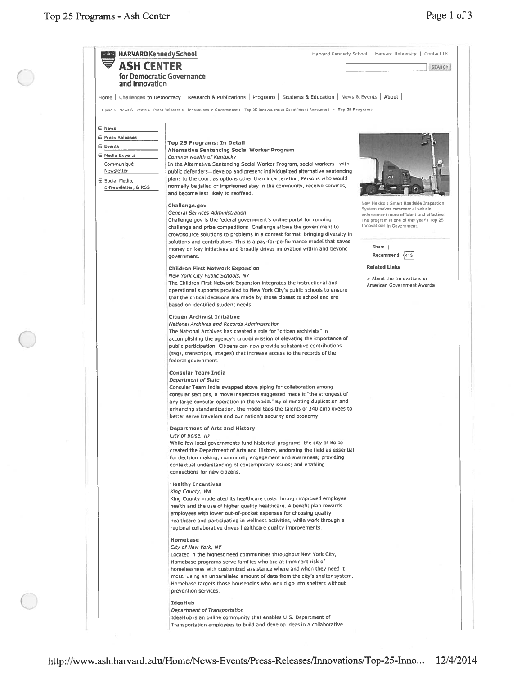$\bigcap$ 

| <b>ASH CENTER</b>       |                                                                                                                                  | <b>SEARCH</b>                                                          |
|-------------------------|----------------------------------------------------------------------------------------------------------------------------------|------------------------------------------------------------------------|
|                         |                                                                                                                                  |                                                                        |
|                         | for Democratic Governance                                                                                                        |                                                                        |
| and Innovation          |                                                                                                                                  |                                                                        |
|                         | Home   Challenges to Democracy   Research & Publications   Programs   Students & Education   News & Events   About               |                                                                        |
|                         |                                                                                                                                  |                                                                        |
|                         | Home > News & Events > Press Releases > Innovations in Government > Top 25 Innovations in Government Announced > Top 25 Programs |                                                                        |
|                         |                                                                                                                                  |                                                                        |
| E News                  |                                                                                                                                  |                                                                        |
| <b>E Press Releases</b> | <b>Top 25 Programs: In Detail</b>                                                                                                |                                                                        |
| <b>E</b> Events         | <b>Alternative Sentencing Social Worker Program</b>                                                                              |                                                                        |
| 压 Media Experts         | Commonwealth of Kentucky                                                                                                         |                                                                        |
| Communiqué              | In the Alternative Sentencing Social Worker Program, social workers-with                                                         |                                                                        |
| Newsletter              | public defenders-develop and present individualized alternative sentencing                                                       |                                                                        |
| E Social Media,         | plans to the court as options other than incarceration. Persons who would                                                        |                                                                        |
| E-Newsletter, & RSS     | normally be jailed or imprisoned stay in the community, receive services,                                                        |                                                                        |
|                         | and become less likely to reoffend.                                                                                              |                                                                        |
|                         |                                                                                                                                  | New Mexico's Smart Roadside Inspection                                 |
|                         | Challenge.gov                                                                                                                    | System makes commercial vehicle                                        |
|                         | General Services Administration                                                                                                  | enforcement more efficient and effective.                              |
|                         | Challenge.gov is the federal government's online portal for running                                                              | The program is one of this year's Top 25<br>Innovations in Government. |
|                         | challenge and prize competitions. Challenge allows the government to                                                             |                                                                        |
|                         | crowdsource solutions to problems in a contest format, bringing diversity in                                                     |                                                                        |
|                         | solutions and contributors. This is a pay-for-performance model that saves                                                       |                                                                        |
|                         | money on key initiatives and broadly drives innovation within and beyond                                                         | Share 1                                                                |
|                         | government.                                                                                                                      | Recommend<br>$\{413$                                                   |
|                         | <b>Children First Network Expansion</b>                                                                                          | <b>Related Links</b>                                                   |
|                         | New York City Public Schools, NY                                                                                                 |                                                                        |
|                         | The Children First Network Expansion integrates the instructional and                                                            | > About the Innovations in                                             |
|                         | operational supports provided to New York City's public schools to ensure                                                        | American Government Awards                                             |
|                         | that the critical decisions are made by those closest to school and are                                                          |                                                                        |
|                         | based on identified student needs.                                                                                               |                                                                        |
|                         |                                                                                                                                  |                                                                        |
|                         | Citizen Archivist Initiative                                                                                                     |                                                                        |
|                         | National Archives and Records Administration                                                                                     |                                                                        |
|                         | The National Archives has created a role for "citizen archivists" in                                                             |                                                                        |
|                         | accomplishing the agency's crucial mission of elevating the importance of                                                        |                                                                        |
|                         | public participation. Citizens can now provide substantive contributions                                                         |                                                                        |
|                         | (tags, transcripts, images) that increase access to the records of the                                                           |                                                                        |
|                         | federal government.                                                                                                              |                                                                        |
|                         |                                                                                                                                  |                                                                        |
|                         | Consular Team India                                                                                                              |                                                                        |
|                         | <b>Department of State</b>                                                                                                       |                                                                        |
|                         | Consular Team India swapped stove piping for collaboration among                                                                 |                                                                        |
|                         | consular sections, a move inspectors suggested made it "the strongest of                                                         |                                                                        |
|                         | any large consular operation in the world." By eliminating duplication and                                                       |                                                                        |
|                         | enhancing standardization, the model taps the talents of 340 employees to                                                        |                                                                        |
|                         | better serve travelers and our nation's security and economy.                                                                    |                                                                        |
|                         |                                                                                                                                  |                                                                        |
|                         | <b>Department of Arts and History</b>                                                                                            |                                                                        |
|                         | City of Boise, ID                                                                                                                |                                                                        |
|                         | While few local governments fund historical programs, the city of Boise                                                          |                                                                        |
|                         | created the Department of Arts and History, endorsing the field as essential                                                     |                                                                        |
|                         | for decision making, community engagement and awareness; providing                                                               |                                                                        |
|                         | contextual understanding of contemporary issues; and enabling                                                                    |                                                                        |
|                         | connections for new citizens.                                                                                                    |                                                                        |
|                         | <b>Healthy Incentives</b>                                                                                                        |                                                                        |
|                         | King County, WA                                                                                                                  |                                                                        |
|                         | King County moderated its healthcare costs through improved employee                                                             |                                                                        |
|                         | health and the use of higher quality healthcare. A benefit plan rewards                                                          |                                                                        |
|                         |                                                                                                                                  |                                                                        |
|                         | employees with lower out-of-pocket expenses for choosing quality                                                                 |                                                                        |
|                         | healthcare and participating in wellness activities, while work through a                                                        |                                                                        |
|                         | regional collaborative drives healthcare quality improvements.                                                                   |                                                                        |
|                         | Homebase                                                                                                                         |                                                                        |
|                         | City of New York, NY                                                                                                             |                                                                        |
|                         | Located in the highest need communities throughout New York City,                                                                |                                                                        |
|                         | Homebase programs serve families who are at imminent risk of                                                                     |                                                                        |
|                         | homelessness with customized assistance where and when they need it                                                              |                                                                        |
|                         |                                                                                                                                  |                                                                        |
|                         | most. Using an unparalleled amount of data from the city's shelter system,                                                       |                                                                        |
|                         | Homebase targets those households who would go into shelters without                                                             |                                                                        |
|                         | prevention services.                                                                                                             |                                                                        |
|                         |                                                                                                                                  |                                                                        |
|                         |                                                                                                                                  |                                                                        |
|                         | IdeaHub                                                                                                                          |                                                                        |
|                         | Department of Transportation<br>IdeaHub is an online community that enables U.S. Department of                                   |                                                                        |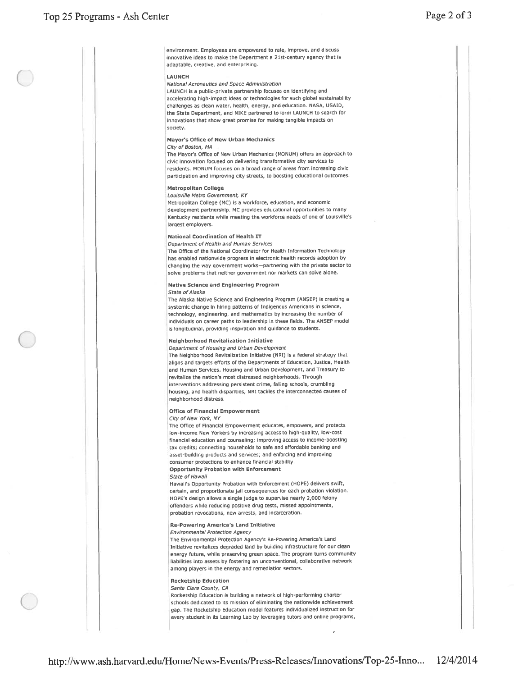environment. Employees are empowered to rate, improve, and discuss innovative ideas to make the Department <sup>a</sup> 21st-century agency that is adaptable, creative, and enterprising.

#### LAUNCH

National Aeronautics and Space Administration

LAUNCH is a public-private partnership focused on identifying and accelerating high-impact ideas or technologies for such global sustainability challenges as clean water, health, energy, and education. NASA, USAID, the State Department, and NIKE partnered to form LAUNCH to search for innovations that show grea<sup>t</sup> promise for making tangible impacts on society.

# Mayor's Office of New Urban Mechanics

# City of Boston, MA

The Mayor's Office of New Urban Mechanics (MDNUM) offers an approac<sup>h</sup> to civic innovation focused on delivering transformative city services to residents, MONUM focuses on <sup>a</sup> broad range of areas from increasing civic participation and improving city streets, to boosting educational outcomes.

# Metropolitan College

Louisville Metro Government, KY

Metropolitan College (MC) is <sup>a</sup> workforce, education, and economic development partnership. MC provides educational opportunities to many Kentucky residents while meeting the workforce needs of one of Louisville's largest employers.

## National Coordination of Health IT

Department of Health and Human Services

The Office of the National Coordinator for Health Information Technology has enabled nationwide progress in electronic health records adoption by changing the way governmen<sup>t</sup> works—partnering with the private sector to solve problems that neither governmen<sup>t</sup> nor markets can solve alone.

## Native Science and Engineering Program

#### State of Alaska

The Alaska Native Science and Engineering Program (ANSEP) is creating a systemic change in hiring patterns of Indigenous Americans in science, technology, engineering, and mathematics by increasing the number of individuals on career paths to leadership in these fields. The ANSEP model is longitudinal, providing inspiration and guidance to students.

## Neighborhood Revitalization Initiative

Department of Housing and Urban Development The Neighborhood Revitalization Iniciative (NRI) is <sup>a</sup> federal strategy that aligns and targets efforts of the Departments of Education, Justice, Health and Human Services, Housing and Urban Development, and Treasury to revitalize the nation's most distressed neighborhoods. Through interventions addressing persistent crime, failing schools, crumbling housing, and health disparities, NRI tackles the interconnected causes of neighborhood distress.

#### Office of Financial Empowerment

#### City of New York, NY

The Office of financial Empowerment educates, empowers, and protects low-income New yorkers by increasing access to high-quality, low-cost financial education and counseling; improving access to income-boosting tax credits; connecting households to safe and affordable banking and asset-building products and services; and enforcing and improving consumer protections to enhance financial stability. Opportunity Probation with Enforcement

#### State of Hawaii

Hawaii's Opportunity Probation with Enforcement (HOPE) delivers awift, certain, and proportionate jail consequences for each probation violation. HOPE's design allows <sup>a</sup> single judge to supervise nearly 2,000 felony offenders while reducing positive drug tests, missed appointments, probation revocations, new arrests, and incarceration.

### Re-Powering America's Land Initiative

#### Environmental Protection Agency

The Environmental Protection Agency's Re-Powering America's Land Initiative revitalizes degraded land by building infrastructure for our clean energy future, while preserving green space. The program turns community liabilities into assets by fostering an unconventional, collaborative network among <sup>p</sup>layers in the energy and remediation sectors.

# Rocketship Education

Santa Clara County, CA Rocketship Education is building a network of high-performing charter schools dedicated to its mission of eliminating the nationwide achievement gap. The Rocketship Education model features individualized instruction for every student in its Learning Lab by leveraging tutors and online programs,